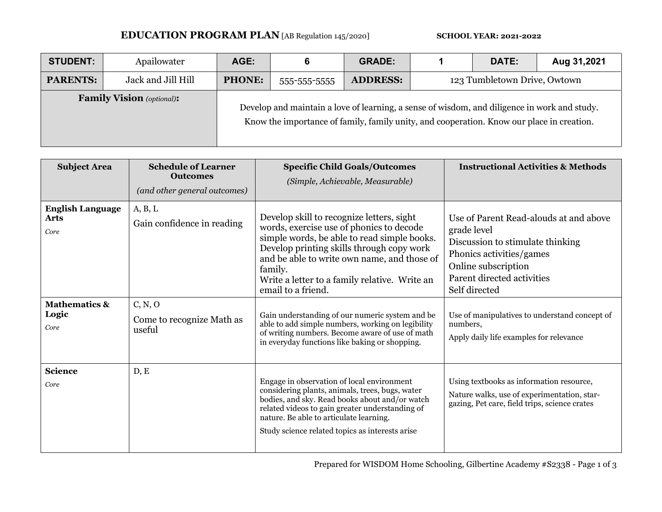## **EDUCATION PROGRAM PLAN** [AB Regulation 145/2020] **SCHOOL YEAR: 2021-2022**

| <b>STUDENT:</b>                  | Apailowater        | AGE:                                                                                                                                                                                      | 6            | <b>GRADE:</b>   |                              | <b>DATE:</b> | Aug 31,2021 |  |
|----------------------------------|--------------------|-------------------------------------------------------------------------------------------------------------------------------------------------------------------------------------------|--------------|-----------------|------------------------------|--------------|-------------|--|
| <b>PARENTS:</b>                  | Jack and Jill Hill | <b>PHONE:</b>                                                                                                                                                                             | 555-555-5555 | <b>ADDRESS:</b> | 123 Tumbletown Drive, Owtown |              |             |  |
| <b>Family Vision</b> (optional): |                    | Develop and maintain a love of learning, a sense of wisdom, and diligence in work and study.<br>Know the importance of family, family unity, and cooperation. Know our place in creation. |              |                 |                              |              |             |  |

| <b>Subject Area</b>                            | <b>Schedule of Learner</b><br><b>Outcomes</b><br>(and other general outcomes) | <b>Specific Child Goals/Outcomes</b><br>(Simple, Achievable, Measurable)                                                                                                                                                                                                                                           | <b>Instructional Activities &amp; Methods</b>                                                                                                                                               |
|------------------------------------------------|-------------------------------------------------------------------------------|--------------------------------------------------------------------------------------------------------------------------------------------------------------------------------------------------------------------------------------------------------------------------------------------------------------------|---------------------------------------------------------------------------------------------------------------------------------------------------------------------------------------------|
| <b>English Language</b><br><b>Arts</b><br>Core | A, B, L<br>Gain confidence in reading                                         | Develop skill to recognize letters, sight<br>words, exercise use of phonics to decode<br>simple words, be able to read simple books.<br>Develop printing skills through copy work<br>and be able to write own name, and those of<br>family.<br>Write a letter to a family relative. Write an<br>email to a friend. | Use of Parent Read-alouds at and above<br>grade level<br>Discussion to stimulate thinking<br>Phonics activities/games<br>Online subscription<br>Parent directed activities<br>Self directed |
| <b>Mathematics &amp;</b><br>Logic<br>Core      | C, N, O<br>Come to recognize Math as<br>useful                                | Gain understanding of our numeric system and be<br>able to add simple numbers, working on legibility<br>of writing numbers. Become aware of use of math<br>in everyday functions like baking or shopping.                                                                                                          | Use of manipulatives to understand concept of<br>numbers,<br>Apply daily life examples for relevance                                                                                        |
| <b>Science</b><br>Core                         | D, E                                                                          | Engage in observation of local environment<br>considering plants, animals, trees, bugs, water<br>bodies, and sky. Read books about and/or watch<br>related videos to gain greater understanding of<br>nature. Be able to articulate learning.<br>Study science related topics as interests arise                   | Using textbooks as information resource,<br>Nature walks, use of experimentation, star-<br>gazing, Pet care, field trips, science crates                                                    |

Prepared for WISDOM Home Schooling, Gilbertine Academy #S2338 - Page 1 of 3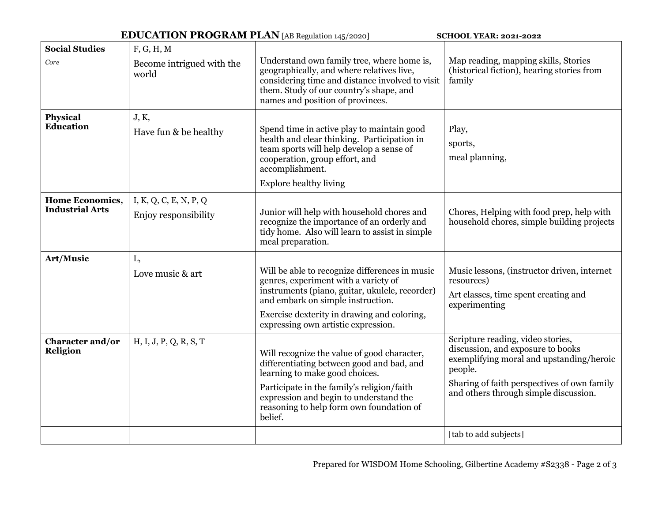| <b>EDUCATION PROGRAM PLAN</b> [AB Regulation 145/2020]<br><b>SCHOOL YEAR: 2021-2022</b> |                                                  |                                                                                                                                                                                                                                                                           |                                                                                                                                                                                                                                                |  |
|-----------------------------------------------------------------------------------------|--------------------------------------------------|---------------------------------------------------------------------------------------------------------------------------------------------------------------------------------------------------------------------------------------------------------------------------|------------------------------------------------------------------------------------------------------------------------------------------------------------------------------------------------------------------------------------------------|--|
| <b>Social Studies</b><br>Core                                                           | F, G, H, M<br>Become intrigued with the<br>world | Understand own family tree, where home is,<br>geographically, and where relatives live,<br>considering time and distance involved to visit<br>them. Study of our country's shape, and<br>names and position of provinces.                                                 | Map reading, mapping skills, Stories<br>(historical fiction), hearing stories from<br>family                                                                                                                                                   |  |
| <b>Physical</b><br><b>Education</b>                                                     | J, K,<br>Have fun & be healthy                   | Spend time in active play to maintain good<br>health and clear thinking. Participation in<br>team sports will help develop a sense of<br>cooperation, group effort, and<br>accomplishment.<br><b>Explore healthy living</b>                                               | Play,<br>sports,<br>meal planning,                                                                                                                                                                                                             |  |
| <b>Home Economics,</b><br><b>Industrial Arts</b>                                        | I, K, Q, C, E, N, P, Q<br>Enjoy responsibility   | Junior will help with household chores and<br>recognize the importance of an orderly and<br>tidy home. Also will learn to assist in simple<br>meal preparation.                                                                                                           | Chores, Helping with food prep, help with<br>household chores, simple building projects                                                                                                                                                        |  |
| Art/Music                                                                               | L,<br>Love music & art                           | Will be able to recognize differences in music<br>genres, experiment with a variety of<br>instruments (piano, guitar, ukulele, recorder)<br>and embark on simple instruction.<br>Exercise dexterity in drawing and coloring,<br>expressing own artistic expression.       | Music lessons, (instructor driven, internet<br>resources)<br>Art classes, time spent creating and<br>experimenting                                                                                                                             |  |
| Character and/or<br>Religion                                                            | H, I, J, P, Q, R, S, T                           | Will recognize the value of good character,<br>differentiating between good and bad, and<br>learning to make good choices.<br>Participate in the family's religion/faith<br>expression and begin to understand the<br>reasoning to help form own foundation of<br>belief. | Scripture reading, video stories,<br>discussion, and exposure to books<br>exemplifying moral and upstanding/heroic<br>people.<br>Sharing of faith perspectives of own family<br>and others through simple discussion.<br>[tab to add subjects] |  |
|                                                                                         |                                                  |                                                                                                                                                                                                                                                                           |                                                                                                                                                                                                                                                |  |